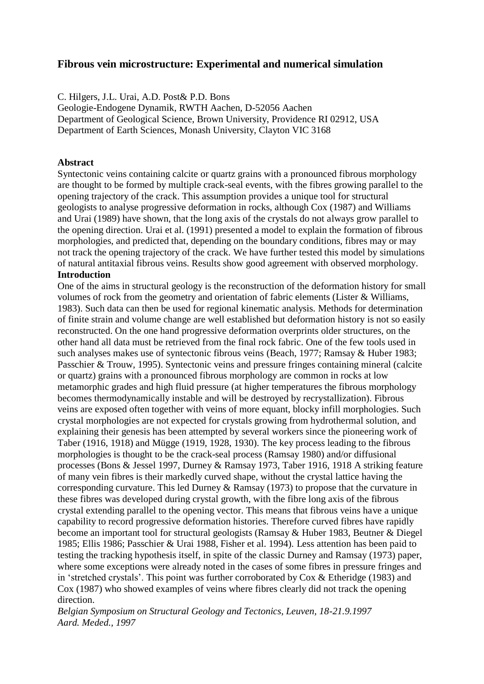## **Fibrous vein microstructure: Experimental and numerical simulation**

C. Hilgers, J.L. Urai, A.D. Post& P.D. Bons

Geologie-Endogene Dynamik, RWTH Aachen, D-52056 Aachen Department of Geological Science, Brown University, Providence RI 02912, USA Department of Earth Sciences, Monash University, Clayton VIC 3168

## **Abstract**

Syntectonic veins containing calcite or quartz grains with a pronounced fibrous morphology are thought to be formed by multiple crack-seal events, with the fibres growing parallel to the opening trajectory of the crack. This assumption provides a unique tool for structural geologists to analyse progressive deformation in rocks, although Cox (1987) and Williams and Urai (1989) have shown, that the long axis of the crystals do not always grow parallel to the opening direction. Urai et al. (1991) presented a model to explain the formation of fibrous morphologies, and predicted that, depending on the boundary conditions, fibres may or may not track the opening trajectory of the crack. We have further tested this model by simulations of natural antitaxial fibrous veins. Results show good agreement with observed morphology. **Introduction**

One of the aims in structural geology is the reconstruction of the deformation history for small volumes of rock from the geometry and orientation of fabric elements (Lister & Williams, 1983). Such data can then be used for regional kinematic analysis. Methods for determination of finite strain and volume change are well established but deformation history is not so easily reconstructed. On the one hand progressive deformation overprints older structures, on the other hand all data must be retrieved from the final rock fabric. One of the few tools used in such analyses makes use of syntectonic fibrous veins (Beach, 1977; Ramsay & Huber 1983; Passchier & Trouw, 1995). Syntectonic veins and pressure fringes containing mineral (calcite or quartz) grains with a pronounced fibrous morphology are common in rocks at low metamorphic grades and high fluid pressure (at higher temperatures the fibrous morphology becomes thermodynamically instable and will be destroyed by recrystallization). Fibrous veins are exposed often together with veins of more equant, blocky infill morphologies. Such crystal morphologies are not expected for crystals growing from hydrothermal solution, and explaining their genesis has been attempted by several workers since the pioneering work of Taber (1916, 1918) and Mügge (1919, 1928, 1930). The key process leading to the fibrous morphologies is thought to be the crack-seal process (Ramsay 1980) and/or diffusional processes (Bons & Jessel 1997, Durney & Ramsay 1973, Taber 1916, 1918 A striking feature of many vein fibres is their markedly curved shape, without the crystal lattice having the corresponding curvature. This led Durney & Ramsay (1973) to propose that the curvature in these fibres was developed during crystal growth, with the fibre long axis of the fibrous crystal extending parallel to the opening vector. This means that fibrous veins have a unique capability to record progressive deformation histories. Therefore curved fibres have rapidly become an important tool for structural geologists (Ramsay & Huber 1983, Beutner & Diegel 1985; Ellis 1986; Passchier & Urai 1988, Fisher et al. 1994). Less attention has been paid to testing the tracking hypothesis itself, in spite of the classic Durney and Ramsay (1973) paper, where some exceptions were already noted in the cases of some fibres in pressure fringes and in 'stretched crystals'. This point was further corroborated by Cox & Etheridge (1983) and Cox (1987) who showed examples of veins where fibres clearly did not track the opening direction.

*Belgian Symposium on Structural Geology and Tectonics, Leuven, 18-21.9.1997 Aard. Meded., 1997*